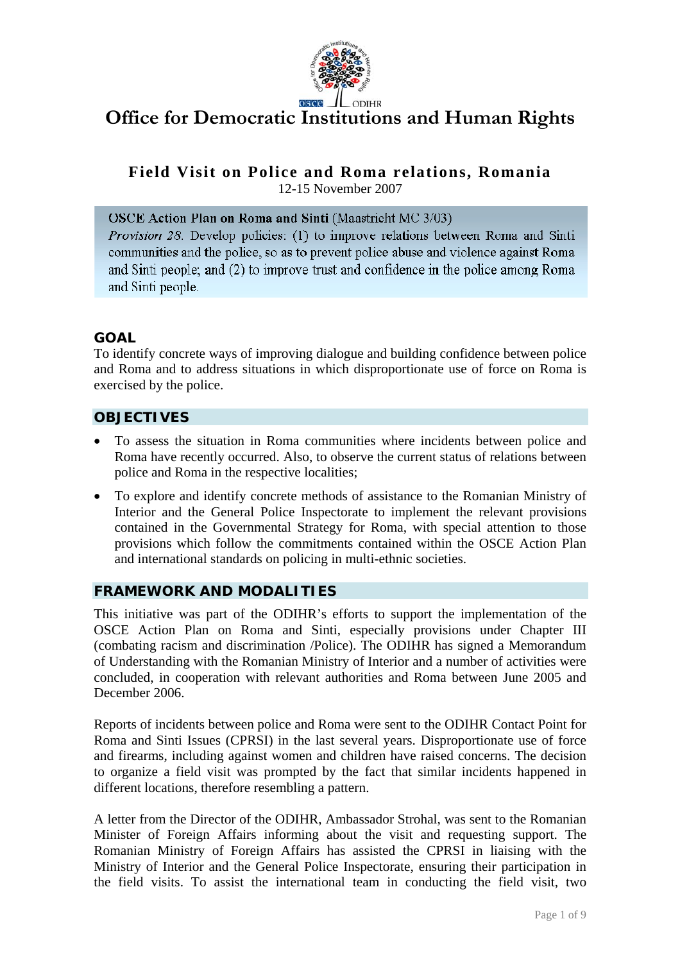

# **Office for Democratic Institutions and Human Rights**

**Field Visit on Police and Roma relations, Romania** 

12-15 November 2007

OSCE Action Plan on Roma and Sinti (Maastricht MC 3/03)

*Provision 28.* Develop policies: (1) to improve relations between Roma and Sinti communities and the police, so as to prevent police abuse and violence against Roma and Sinti people; and (2) to improve trust and confidence in the police among Roma and Sinti people.

# **GOAL**

To identify concrete ways of improving dialogue and building confidence between police and Roma and to address situations in which disproportionate use of force on Roma is exercised by the police.

# **OBJECTIVES**

- To assess the situation in Roma communities where incidents between police and Roma have recently occurred. Also, to observe the current status of relations between police and Roma in the respective localities;
- To explore and identify concrete methods of assistance to the Romanian Ministry of Interior and the General Police Inspectorate to implement the relevant provisions contained in the Governmental Strategy for Roma, with special attention to those provisions which follow the commitments contained within the OSCE Action Plan and international standards on policing in multi-ethnic societies.

## **FRAMEWORK AND MODALITIES**

This initiative was part of the ODIHR's efforts to support the implementation of the OSCE Action Plan on Roma and Sinti, especially provisions under Chapter III (combating racism and discrimination /Police). The ODIHR has signed a Memorandum of Understanding with the Romanian Ministry of Interior and a number of activities were concluded, in cooperation with relevant authorities and Roma between June 2005 and December 2006.

Reports of incidents between police and Roma were sent to the ODIHR Contact Point for Roma and Sinti Issues (CPRSI) in the last several years. Disproportionate use of force and firearms, including against women and children have raised concerns. The decision to organize a field visit was prompted by the fact that similar incidents happened in different locations, therefore resembling a pattern.

A letter from the Director of the ODIHR, Ambassador Strohal, was sent to the Romanian Minister of Foreign Affairs informing about the visit and requesting support. The Romanian Ministry of Foreign Affairs has assisted the CPRSI in liaising with the Ministry of Interior and the General Police Inspectorate, ensuring their participation in the field visits. To assist the international team in conducting the field visit, two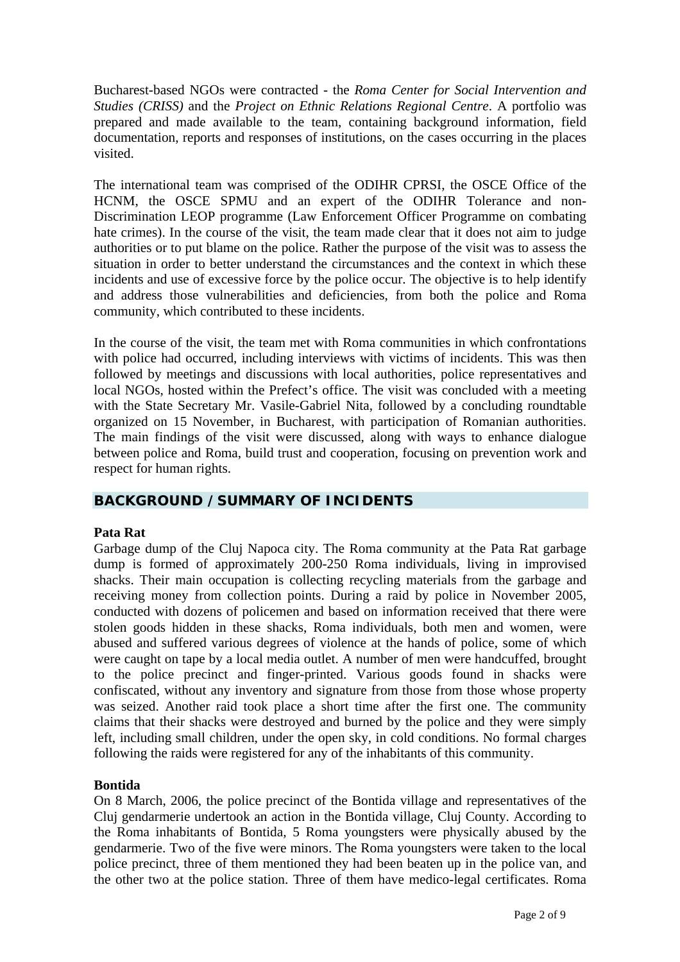Bucharest-based NGOs were contracted - the *Roma Center for Social Intervention and Studies (CRISS)* and the *Project on Ethnic Relations Regional Centre*. A portfolio was prepared and made available to the team, containing background information, field documentation, reports and responses of institutions, on the cases occurring in the places visited.

The international team was comprised of the ODIHR CPRSI, the OSCE Office of the HCNM, the OSCE SPMU and an expert of the ODIHR Tolerance and non-Discrimination LEOP programme (Law Enforcement Officer Programme on combating hate crimes). In the course of the visit, the team made clear that it does not aim to judge authorities or to put blame on the police. Rather the purpose of the visit was to assess the situation in order to better understand the circumstances and the context in which these incidents and use of excessive force by the police occur. The objective is to help identify and address those vulnerabilities and deficiencies, from both the police and Roma community, which contributed to these incidents.

In the course of the visit, the team met with Roma communities in which confrontations with police had occurred, including interviews with victims of incidents. This was then followed by meetings and discussions with local authorities, police representatives and local NGOs, hosted within the Prefect's office. The visit was concluded with a meeting with the State Secretary Mr. Vasile-Gabriel Nita, followed by a concluding roundtable organized on 15 November, in Bucharest, with participation of Romanian authorities. The main findings of the visit were discussed, along with ways to enhance dialogue between police and Roma, build trust and cooperation, focusing on prevention work and respect for human rights.

## **BACKGROUND /SUMMARY OF INCIDENTS**

## **ata Rat P**

Garbage dump of the Cluj Napoca city. The Roma community at the Pata Rat garbage dump is formed of approximately 200-250 Roma individuals, living in improvised shacks. Their main occupation is collecting recycling materials from the garbage and receiving money from collection points. During a raid by police in November 2005, conducted with dozens of policemen and based on information received that there were stolen goods hidden in these shacks, Roma individuals, both men and women, were abused and suffered various degrees of violence at the hands of police, some of which were caught on tape by a local media outlet. A number of men were handcuffed, brought to the police precinct and finger-printed. Various goods found in shacks were confiscated, without any inventory and signature from those from those whose property was seized. Another raid took place a short time after the first one. The community claims that their shacks were destroyed and burned by the police and they were simply left, including small children, under the open sky, in cold conditions. No formal charges following the raids were registered for any of the inhabitants of this community.

#### **ontida B**

On 8 March, 2006, the police precinct of the Bontida village and representatives of the Cluj gendarmerie undertook an action in the Bontida village, Cluj County. According to the Roma inhabitants of Bontida, 5 Roma youngsters were physically abused by the gendarmerie. Two of the five were minors. The Roma youngsters were taken to the local police precinct, three of them mentioned they had been beaten up in the police van, and the other two at the police station. Three of them have medico-legal certificates. Roma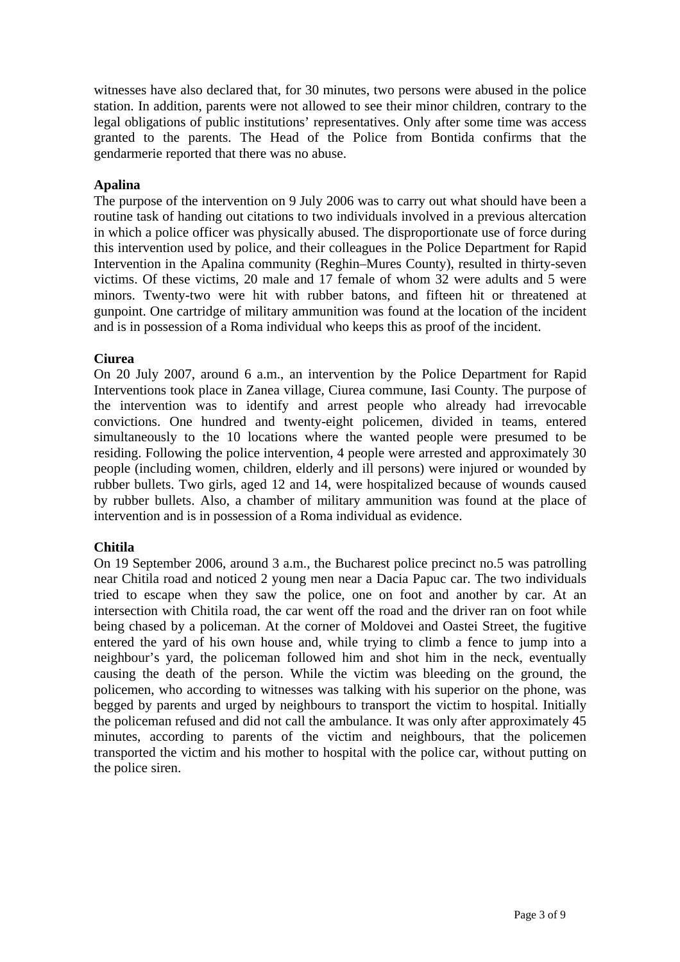witnesses have also declared that, for 30 minutes, two persons were abused in the police station. In addition, parents were not allowed to see their minor children, contrary to the legal obligations of public institutions' representatives. Only after some time was access granted to the parents. The Head of the Police from Bontida confirms that the gendarmerie reported that there was no abuse.

## **Apalina**

The purpose of the intervention on 9 July 2006 was to carry out what should have been a routine task of handing out citations to two individuals involved in a previous altercation in which a police officer was physically abused. The disproportionate use of force during this intervention used by police, and their colleagues in the Police Department for Rapid Intervention in the Apalina community (Reghin–Mures County), resulted in thirty-seven victims. Of these victims, 20 male and 17 female of whom 32 were adults and 5 were minors. Twenty-two were hit with rubber batons, and fifteen hit or threatened at gunpoint. One cartridge of military ammunition was found at the location of the incident and is in possession of a Roma individual who keeps this as proof of the incident.

## **iurea C**

On 20 July 2007, around 6 a.m., an intervention by the Police Department for Rapid Interventions took place in Zanea village, Ciurea commune, Iasi County. The purpose of the intervention was to identify and arrest people who already had irrevocable convictions. One hundred and twenty-eight policemen, divided in teams, entered simultaneously to the 10 locations where the wanted people were presumed to be residing. Following the police intervention, 4 people were arrested and approximately 30 people (including women, children, elderly and ill persons) were injured or wounded by rubber bullets. Two girls, aged 12 and 14, were hospitalized because of wounds caused by rubber bullets. Also, a chamber of military ammunition was found at the place of intervention and is in possession of a Roma individual as evidence.

## **hitila C**

On 19 September 2006, around 3 a.m., the Bucharest police precinct no.5 was patrolling near Chitila road and noticed 2 young men near a Dacia Papuc car. The two individuals tried to escape when they saw the police, one on foot and another by car. At an intersection with Chitila road, the car went off the road and the driver ran on foot while being chased by a policeman. At the corner of Moldovei and Oastei Street, the fugitive entered the yard of his own house and, while trying to climb a fence to jump into a neighbour's yard, the policeman followed him and shot him in the neck, eventually causing the death of the person. While the victim was bleeding on the ground, the policemen, who according to witnesses was talking with his superior on the phone, was begged by parents and urged by neighbours to transport the victim to hospital. Initially the policeman refused and did not call the ambulance. It was only after approximately 45 minutes, according to parents of the victim and neighbours, that the policemen transported the victim and his mother to hospital with the police car, without putting on the police siren.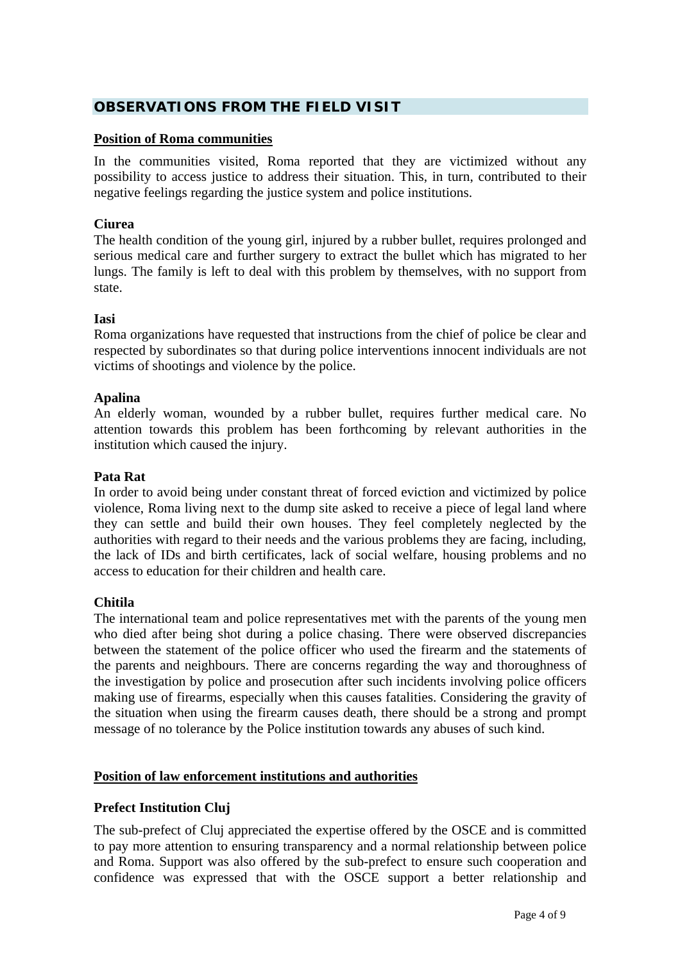# **OBSERVATIONS FROM THE FIELD VISIT**

#### **Position of Roma communities**

In the communities visited, Roma reported that they are victimized without any possibility to access justice to address their situation. This, in turn, contributed to their negative feelings regarding the justice system and police institutions.

## **iurea C**

The health condition of the young girl, injured by a rubber bullet, requires prolonged and serious medical care and further surgery to extract the bullet which has migrated to her lungs. The family is left to deal with this problem by themselves, with no support from state.

## **si Ia**

Roma organizations have requested that instructions from the chief of police be clear and respected by subordinates so that during police interventions innocent individuals are not victims of shootings and violence by the police.

#### **palina A**

An elderly woman, wounded by a rubber bullet, requires further medical care. No attention towards this problem has been forthcoming by relevant authorities in the institution which caused the injury.

#### **ata Rat P**

In order to avoid being under constant threat of forced eviction and victimized by police violence, Roma living next to the dump site asked to receive a piece of legal land where they can settle and build their own houses. They feel completely neglected by the authorities with regard to their needs and the various problems they are facing, including, the lack of IDs and birth certificates, lack of social welfare, housing problems and no access to education for their children and health care.

#### **hitila C**

The international team and police representatives met with the parents of the young men who died after being shot during a police chasing. There were observed discrepancies between the statement of the police officer who used the firearm and the statements of the parents and neighbours. There are concerns regarding the way and thoroughness of the investigation by police and prosecution after such incidents involving police officers making use of firearms, especially when this causes fatalities. Considering the gravity of the situation when using the firearm causes death, there should be a strong and prompt message of no tolerance by the Police institution towards any abuses of such kind.

## **osition of law enforcement institutions and authorities P**

## **refect Institution Cluj P**

The sub-prefect of Cluj appreciated the expertise offered by the OSCE and is committed to pay more attention to ensuring transparency and a normal relationship between police and Roma. Support was also offered by the sub-prefect to ensure such cooperation and confidence was expressed that with the OSCE support a better relationship and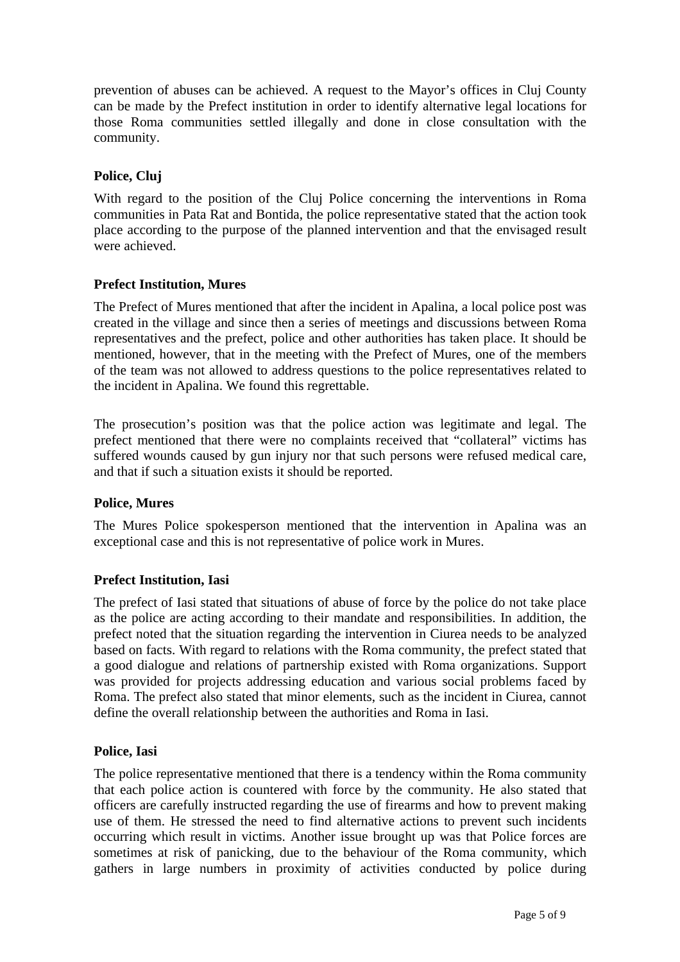prevention of abuses can be achieved. A request to the Mayor's offices in Cluj County can be made by the Prefect institution in order to identify alternative legal locations for those Roma communities settled illegally and done in close consultation with the community.

## **Police, Cluj**

With regard to the position of the Cluj Police concerning the interventions in Roma communities in Pata Rat and Bontida, the police representative stated that the action took place according to the purpose of the planned intervention and that the envisaged result were achieved.

## **refect Institution, Mures P**

The Prefect of Mures mentioned that after the incident in Apalina, a local police post was created in the village and since then a series of meetings and discussions between Roma representatives and the prefect, police and other authorities has taken place. It should be mentioned, however, that in the meeting with the Prefect of Mures, one of the members of the team was not allowed to address questions to the police representatives related to the incident in Apalina. We found this regrettable.

The prosecution's position was that the police action was legitimate and legal. The prefect mentioned that there were no complaints received that "collateral" victims has suffered wounds caused by gun injury nor that such persons were refused medical care, and that if such a situation exists it should be reported.

#### **olice, Mures P**

The Mures Police spokesperson mentioned that the intervention in Apalina was an exceptional case and this is not representative of police work in Mures.

#### **refect Institution, Iasi P**

The prefect of Iasi stated that situations of abuse of force by the police do not take place as the police are acting according to their mandate and responsibilities. In addition, the prefect noted that the situation regarding the intervention in Ciurea needs to be analyzed based on facts. With regard to relations with the Roma community, the prefect stated that a good dialogue and relations of partnership existed with Roma organizations. Support was provided for projects addressing education and various social problems faced by Roma. The prefect also stated that minor elements, such as the incident in Ciurea, cannot define the overall relationship between the authorities and Roma in Iasi.

#### **olice, Iasi P**

The police representative mentioned that there is a tendency within the Roma community that each police action is countered with force by the community. He also stated that officers are carefully instructed regarding the use of firearms and how to prevent making use of them. He stressed the need to find alternative actions to prevent such incidents occurring which result in victims. Another issue brought up was that Police forces are sometimes at risk of panicking, due to the behaviour of the Roma community, which gathers in large numbers in proximity of activities conducted by police during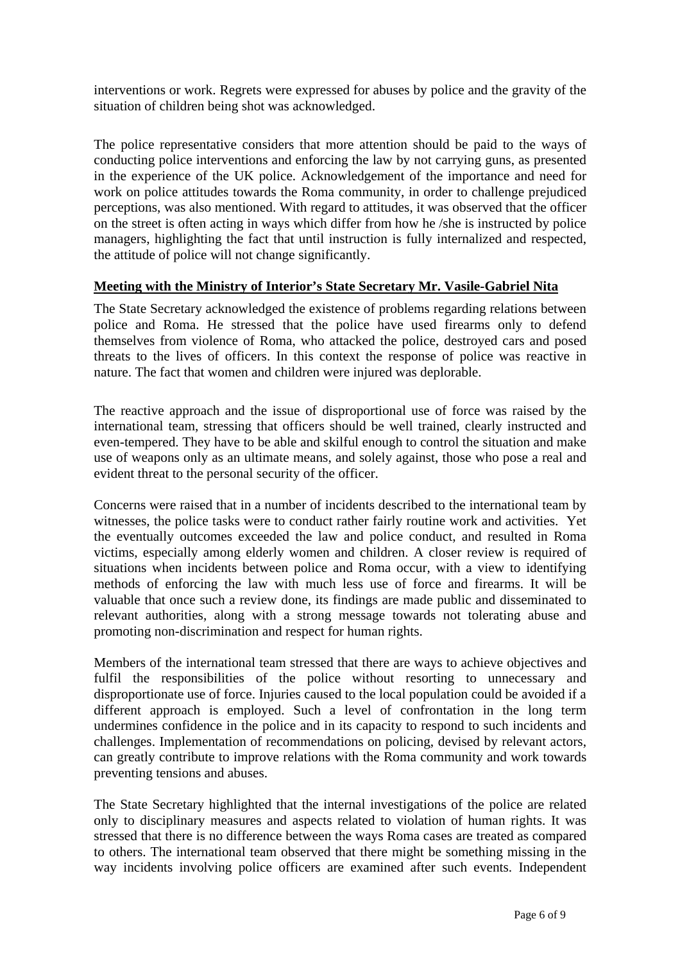interventions or work. Regrets were expressed for abuses by police and the gravity of the situation of children being shot was acknowledged.

The police representative considers that more attention should be paid to the ways of conducting police interventions and enforcing the law by not carrying guns, as presented in the experience of the UK police. Acknowledgement of the importance and need for work on police attitudes towards the Roma community, in order to challenge prejudiced perceptions, was also mentioned. With regard to attitudes, it was observed that the officer on the street is often acting in ways which differ from how he /she is instructed by police managers, highlighting the fact that until instruction is fully internalized and respected, the attitude of police will not change significantly.

## **<u>Meeting with the Ministry of Interior's State Secretary Mr. Vasile-Gabriel Nita</u>**

The State Secretary acknowledged the existence of problems regarding relations between police and Roma. He stressed that the police have used firearms only to defend themselves from violence of Roma, who attacked the police, destroyed cars and posed threats to the lives of officers. In this context the response of police was reactive in nature. The fact that women and children were injured was deplorable.

The reactive approach and the issue of disproportional use of force was raised by the international team, stressing that officers should be well trained, clearly instructed and even-tempered. They have to be able and skilful enough to control the situation and make use of weapons only as an ultimate means, and solely against, those who pose a real and evident threat to the personal security of the officer.

Concerns were raised that in a number of incidents described to the international team by witnesses, the police tasks were to conduct rather fairly routine work and activities. Yet the eventually outcomes exceeded the law and police conduct, and resulted in Roma victims, especially among elderly women and children. A closer review is required of situations when incidents between police and Roma occur, with a view to identifying methods of enforcing the law with much less use of force and firearms. It will be valuable that once such a review done, its findings are made public and disseminated to relevant authorities, along with a strong message towards not tolerating abuse and promoting non-discrimination and respect for human rights.

Members of the international team stressed that there are ways to achieve objectives and fulfil the responsibilities of the police without resorting to unnecessary and disproportionate use of force. Injuries caused to the local population could be avoided if a different approach is employed. Such a level of confrontation in the long term undermines confidence in the police and in its capacity to respond to such incidents and challenges. Implementation of recommendations on policing, devised by relevant actors, can greatly contribute to improve relations with the Roma community and work towards preventing tensions and abuses.

The State Secretary highlighted that the internal investigations of the police are related only to disciplinary measures and aspects related to violation of human rights. It was stressed that there is no difference between the ways Roma cases are treated as compared to others. The international team observed that there might be something missing in the way incidents involving police officers are examined after such events. Independent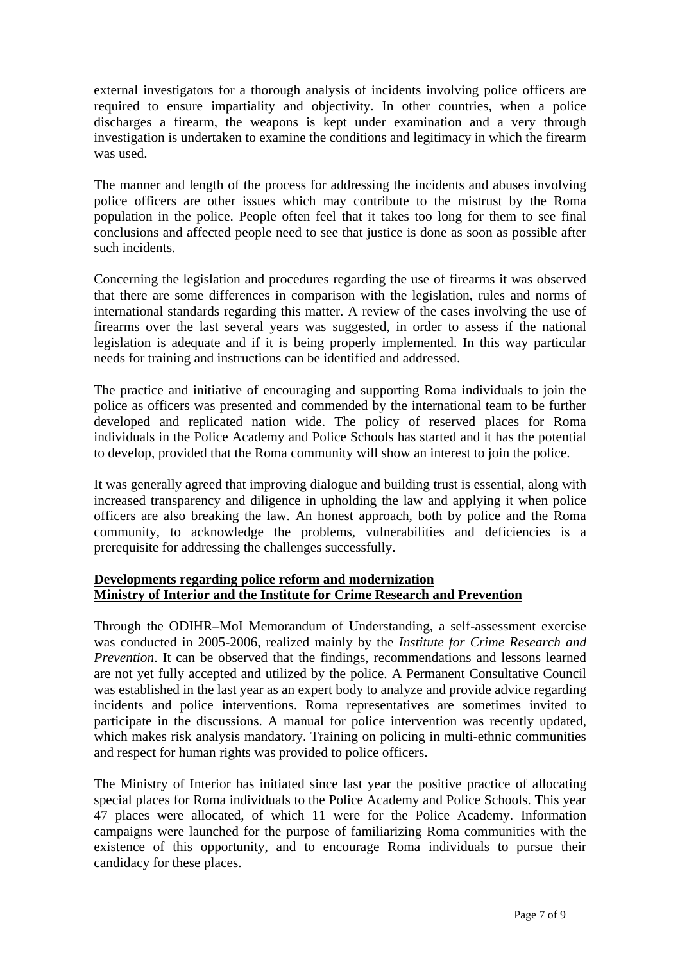external investigators for a thorough analysis of incidents involving police officers are required to ensure impartiality and objectivity. In other countries, when a police discharges a firearm, the weapons is kept under examination and a very through investigation is undertaken to examine the conditions and legitimacy in which the firearm was used.

The manner and length of the process for addressing the incidents and abuses involving police officers are other issues which may contribute to the mistrust by the Roma population in the police. People often feel that it takes too long for them to see final conclusions and affected people need to see that justice is done as soon as possible after such incidents.

Concerning the legislation and procedures regarding the use of firearms it was observed that there are some differences in comparison with the legislation, rules and norms of international standards regarding this matter. A review of the cases involving the use of firearms over the last several years was suggested, in order to assess if the national legislation is adequate and if it is being properly implemented. In this way particular needs for training and instructions can be identified and addressed.

The practice and initiative of encouraging and supporting Roma individuals to join the police as officers was presented and commended by the international team to be further developed and replicated nation wide. The policy of reserved places for Roma individuals in the Police Academy and Police Schools has started and it has the potential to develop, provided that the Roma community will show an interest to join the police.

It was generally agreed that improving dialogue and building trust is essential, along with increased transparency and diligence in upholding the law and applying it when police officers are also breaking the law. An honest approach, both by police and the Roma community, to acknowledge the problems, vulnerabilities and deficiencies is a prerequisite for addressing the challenges successfully.

## **<u>Developments regarding police reform and modernization</u> Ministry of Interior and the Institute for Crime Research and Prevention**

hrough the ODIHR–MoI Memorandum of Understanding, a self-assessment exercise T was conducted in 2005-2006, realized mainly by the *Institute for Crime Research and Prevention*. It can be observed that the findings, recommendations and lessons learned are not yet fully accepted and utilized by the police. A Permanent Consultative Council was established in the last year as an expert body to analyze and provide advice regarding incidents and police interventions. Roma representatives are sometimes invited to participate in the discussions. A manual for police intervention was recently updated, which makes risk analysis mandatory. Training on policing in multi-ethnic communities and respect for human rights was provided to police officers.

The Ministry of Interior has initiated since last year the positive practice of allocating special places for Roma individuals to the Police Academy and Police Schools. This year 47 places were allocated, of which 11 were for the Police Academy. Information campaigns were launched for the purpose of familiarizing Roma communities with the existence of this opportunity, and to encourage Roma individuals to pursue their candidacy for these places.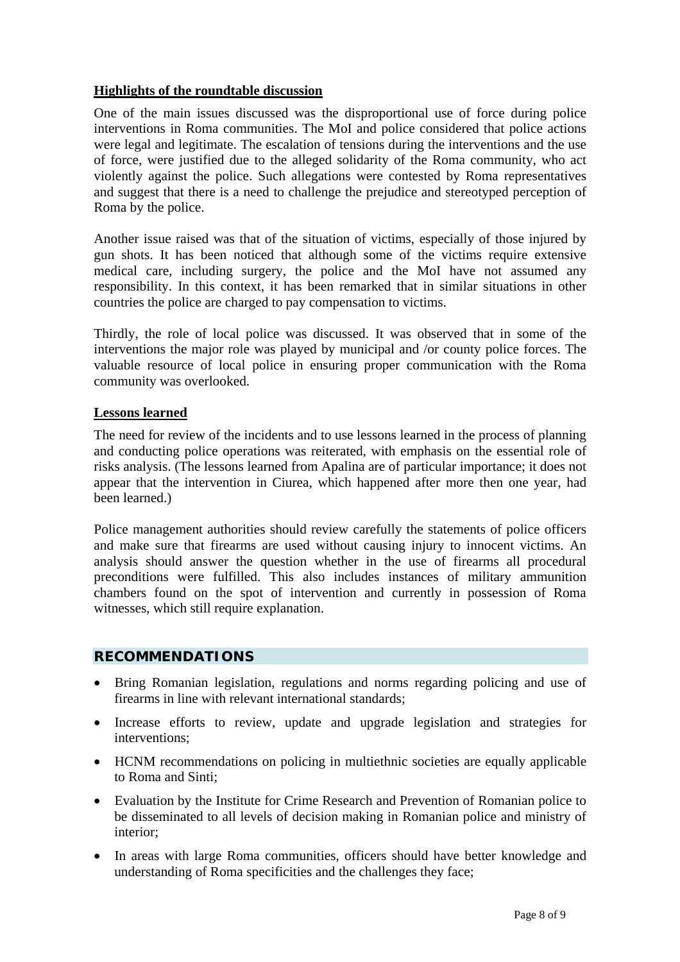## **Highlights of the roundtable discussion**

One of the main issues discussed was the disproportional use of force during police interventions in Roma communities. The MoI and police considered that police actions were legal and legitimate. The escalation of tensions during the interventions and the use of force, were justified due to the alleged solidarity of the Roma community, who act violently against the police. Such allegations were contested by Roma representatives and suggest that there is a need to challenge the prejudice and stereotyped perception of Roma by the police.

Another issue raised was that of the situation of victims, especially of those injured by gun shots. It has been noticed that although some of the victims require extensive medical care, including surgery, the police and the MoI have not assumed any responsibility. In this context, it has been remarked that in similar situations in other countries the police are charged to pay compensation to victims.

Thirdly, the role of local police was discussed. It was observed that in some of the interventions the major role was played by municipal and /or county police forces. The valuable resource of local police in ensuring proper communication with the Roma community was overlooked.

## **Lessons learned**

The need for review of the incidents and to use lessons learned in the process of planning and conducting police operations was reiterated, with emphasis on the essential role of risks analysis. (The lessons learned from Apalina are of particular importance; it does not appear that the intervention in Ciurea, which happened after more then one year, had been learned.)

Police management authorities should review carefully the statements of police officers and make sure that firearms are used without causing injury to innocent victims. An analysis should answer the question whether in the use of firearms all procedural preconditions were fulfilled. This also includes instances of military ammunition chambers found on the spot of intervention and currently in possession of Roma witnesses, which still require explanation.

#### **RECOMMENDATIONS**

- Bring Romanian legislation, regulations and norms regarding policing and use of firearms in line with relevant international standards;
- Increase efforts to review, update and upgrade legislation and strategies for interventions;
- HCNM recommendations on policing in multiethnic societies are equally applicable to Roma and Sinti;
- Evaluation by the Institute for Crime Research and Prevention of Romanian police to be disseminated to all levels of decision making in Romanian police and ministry of interior;
- In areas with large Roma communities, officers should have better knowledge and understanding of Roma specificities and the challenges they face;